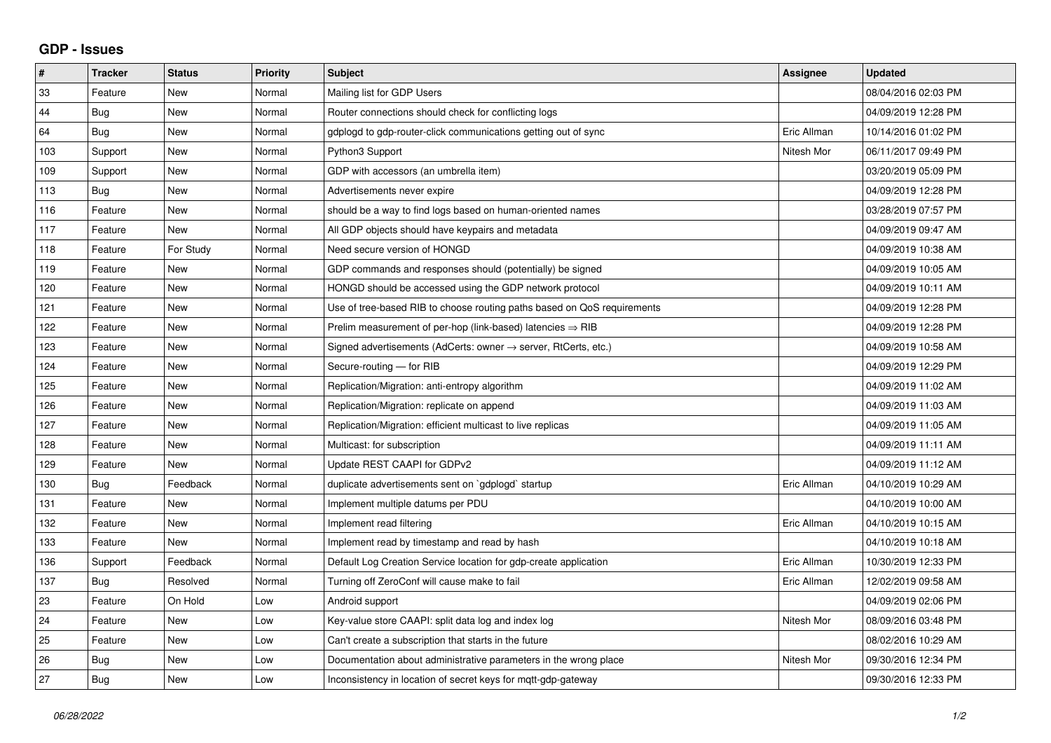## **GDP - Issues**

| #   | <b>Tracker</b> | <b>Status</b> | Priority | <b>Subject</b>                                                          | <b>Assignee</b> | <b>Updated</b>      |
|-----|----------------|---------------|----------|-------------------------------------------------------------------------|-----------------|---------------------|
| 33  | Feature        | <b>New</b>    | Normal   | Mailing list for GDP Users                                              |                 | 08/04/2016 02:03 PM |
| 44  | Bug            | <b>New</b>    | Normal   | Router connections should check for conflicting logs                    |                 | 04/09/2019 12:28 PM |
| 64  | <b>Bug</b>     | <b>New</b>    | Normal   | gdplogd to gdp-router-click communications getting out of sync          | Eric Allman     | 10/14/2016 01:02 PM |
| 103 | Support        | <b>New</b>    | Normal   | Python3 Support                                                         | Nitesh Mor      | 06/11/2017 09:49 PM |
| 109 | Support        | <b>New</b>    | Normal   | GDP with accessors (an umbrella item)                                   |                 | 03/20/2019 05:09 PM |
| 113 | <b>Bug</b>     | <b>New</b>    | Normal   | Advertisements never expire                                             |                 | 04/09/2019 12:28 PM |
| 116 | Feature        | <b>New</b>    | Normal   | should be a way to find logs based on human-oriented names              |                 | 03/28/2019 07:57 PM |
| 117 | Feature        | <b>New</b>    | Normal   | All GDP objects should have keypairs and metadata                       |                 | 04/09/2019 09:47 AM |
| 118 | Feature        | For Study     | Normal   | Need secure version of HONGD                                            |                 | 04/09/2019 10:38 AM |
| 119 | Feature        | New           | Normal   | GDP commands and responses should (potentially) be signed               |                 | 04/09/2019 10:05 AM |
| 120 | Feature        | <b>New</b>    | Normal   | HONGD should be accessed using the GDP network protocol                 |                 | 04/09/2019 10:11 AM |
| 121 | Feature        | <b>New</b>    | Normal   | Use of tree-based RIB to choose routing paths based on QoS requirements |                 | 04/09/2019 12:28 PM |
| 122 | Feature        | <b>New</b>    | Normal   | Prelim measurement of per-hop (link-based) latencies $\Rightarrow$ RIB  |                 | 04/09/2019 12:28 PM |
| 123 | Feature        | <b>New</b>    | Normal   | Signed advertisements (AdCerts: owner → server, RtCerts, etc.)          |                 | 04/09/2019 10:58 AM |
| 124 | Feature        | <b>New</b>    | Normal   | Secure-routing - for RIB                                                |                 | 04/09/2019 12:29 PM |
| 125 | Feature        | <b>New</b>    | Normal   | Replication/Migration: anti-entropy algorithm                           |                 | 04/09/2019 11:02 AM |
| 126 | Feature        | <b>New</b>    | Normal   | Replication/Migration: replicate on append                              |                 | 04/09/2019 11:03 AM |
| 127 | Feature        | New           | Normal   | Replication/Migration: efficient multicast to live replicas             |                 | 04/09/2019 11:05 AM |
| 128 | Feature        | <b>New</b>    | Normal   | Multicast: for subscription                                             |                 | 04/09/2019 11:11 AM |
| 129 | Feature        | <b>New</b>    | Normal   | Update REST CAAPI for GDPv2                                             |                 | 04/09/2019 11:12 AM |
| 130 | Bug            | Feedback      | Normal   | duplicate advertisements sent on `qdplogd` startup                      | Eric Allman     | 04/10/2019 10:29 AM |
| 131 | Feature        | <b>New</b>    | Normal   | Implement multiple datums per PDU                                       |                 | 04/10/2019 10:00 AM |
| 132 | Feature        | <b>New</b>    | Normal   | Implement read filtering                                                | Eric Allman     | 04/10/2019 10:15 AM |
| 133 | Feature        | New           | Normal   | Implement read by timestamp and read by hash                            |                 | 04/10/2019 10:18 AM |
| 136 | Support        | Feedback      | Normal   | Default Log Creation Service location for gdp-create application        | Eric Allman     | 10/30/2019 12:33 PM |
| 137 | <b>Bug</b>     | Resolved      | Normal   | Turning off ZeroConf will cause make to fail                            | Eric Allman     | 12/02/2019 09:58 AM |
| 23  | Feature        | On Hold       | Low      | Android support                                                         |                 | 04/09/2019 02:06 PM |
| 24  | Feature        | <b>New</b>    | Low      | Key-value store CAAPI: split data log and index log                     | Nitesh Mor      | 08/09/2016 03:48 PM |
| 25  | Feature        | <b>New</b>    | Low      | Can't create a subscription that starts in the future                   |                 | 08/02/2016 10:29 AM |
| 26  | Bug            | <b>New</b>    | Low      | Documentation about administrative parameters in the wrong place        | Nitesh Mor      | 09/30/2016 12:34 PM |
| 27  | Bug            | <b>New</b>    | Low      | Inconsistency in location of secret keys for mgtt-gdp-gateway           |                 | 09/30/2016 12:33 PM |